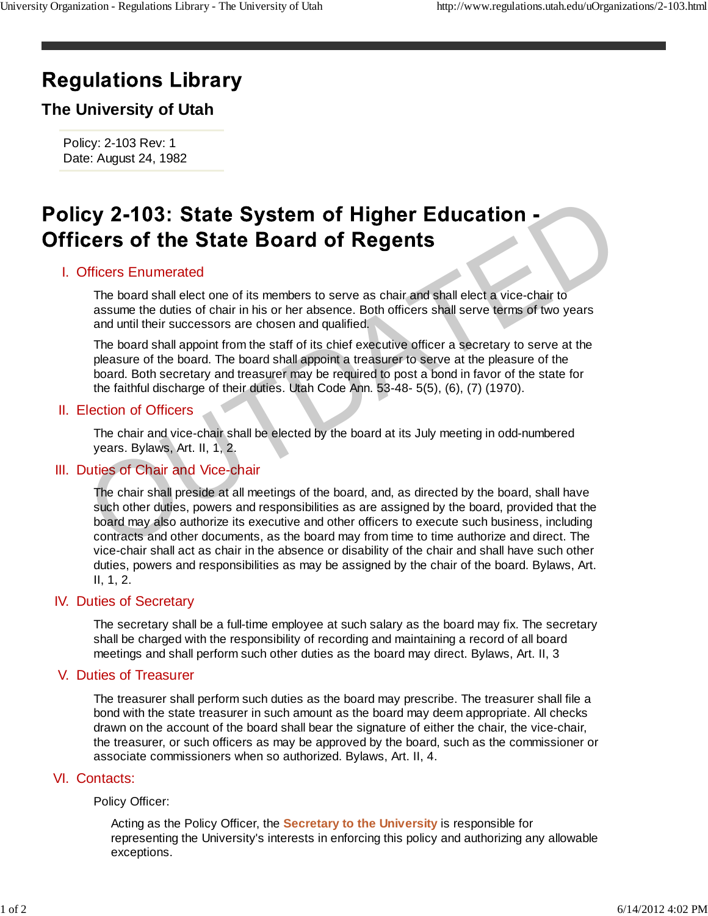# **Regulations Library**

## **The University of Utah**

Policy: 2-103 Rev: 1 Date: August 24, 1982

### Officers Enumerated I.

The board shall elect one of its members to serve as chair and shall elect a vice-chair to assume the duties of chair in his or her absence. Both officers shall serve terms of two years and until their successors are chosen and qualified.

The board shall appoint from the staff of its chief executive officer a secretary to serve at the pleasure of the board. The board shall appoint a treasurer to serve at the pleasure of the board. Both secretary and treasurer may be required to post a bond in favor of the state for the faithful discharge of their duties. Utah Code Ann. 53-48- 5(5), (6), (7) (1970).

#### Election of Officers II.

The chair and vice-chair shall be elected by the board at its July meeting in odd-numbered years. Bylaws, Art. II, 1, 2.

#### III. Duties of Chair and Vice-chair

The chair shall preside at all meetings of the board, and, as directed by the board, shall have such other duties, powers and responsibilities as are assigned by the board, provided that the board may also authorize its executive and other officers to execute such business, including contracts and other documents, as the board may from time to time authorize and direct. The vice-chair shall act as chair in the absence or disability of the chair and shall have such other duties, powers and responsibilities as may be assigned by the chair of the board. Bylaws, Art. II, 1, 2. Cy 2-103: State System of Higher Education -<br>Cers of the State Board of Regents<br>This base Scheme and the State Board of Regents<br>assume the duties of chair in his or her absence. Both officers shall serve terms of two years

#### **IV.** Duties of Secretary

The secretary shall be a full-time employee at such salary as the board may fix. The secretary shall be charged with the responsibility of recording and maintaining a record of all board meetings and shall perform such other duties as the board may direct. Bylaws, Art. II, 3

#### V. Duties of Treasurer

The treasurer shall perform such duties as the board may prescribe. The treasurer shall file a bond with the state treasurer in such amount as the board may deem appropriate. All checks drawn on the account of the board shall bear the signature of either the chair, the vice-chair, the treasurer, or such officers as may be approved by the board, such as the commissioner or associate commissioners when so authorized. Bylaws, Art. II, 4.

#### VI. Contacts:

#### Policy Officer:

Acting as the Policy Officer, the **Secretary to the University** is responsible for representing the University's interests in enforcing this policy and authorizing any allowable exceptions.